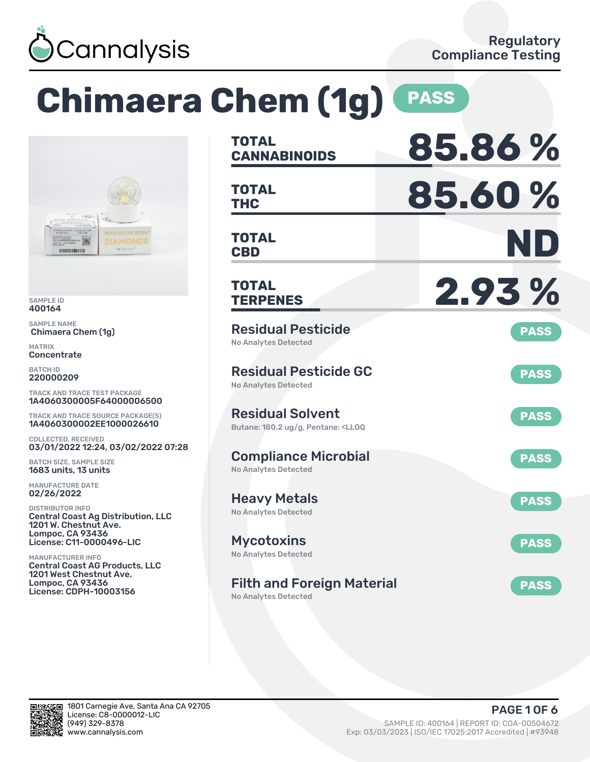

### **Chimaera Chem (1g) PASS TOTAL CANNABINOIDS 85.86 % TOTAL THC 85.60 % TOTAL CBD ND TOTAL TERPENES 2.93 %** Residual Pesticide No Analytes Detected **PASS** Residual Pesticide GC No Analytes Detected **PASS** Residual Solvent Butane: 180.2 ug/g, Pentane: <LLOQ **PASS** Compliance Microbial No Analytes Detected **PASS** Heavy Metals No Analytes Detected **PASS** Mycotoxins No Analytes Detected **PASS** Filth and Foreign Material TRACK AND TRACE TEST PACKAGE 1A4060300005F64000006500 TRACK AND TRACE SOURCE PACKAGE(S) 1A4060300002EE1000026610 03/01/2022 12:24, 03/02/2022 07:28 Central Coast Ag Distribution, LLC License: C11-0000496-LIC Central Coast AG Products, LLC 1201 West Chestnut Ave.

No Analytes Detected



SAMPLE ID 400164 SAMPLE NAME

MATRIX **Concentrate** BATCH ID 220000209

Chimaera Chem (1g)

**THE UNITED STATES** 

COLLECTED, RECEIVED

BATCH SIZE, SAMPLE SIZE 1683 units, 13 units MANUFACTURE DATE 02/26/2022 DISTRIBUTOR INFO

1201 W. Chestnut Ave. Lompoc, CA 93436

MANUFACTURER INFO

Lompoc, CA 93436 License: CDPH-10003156

**PASS**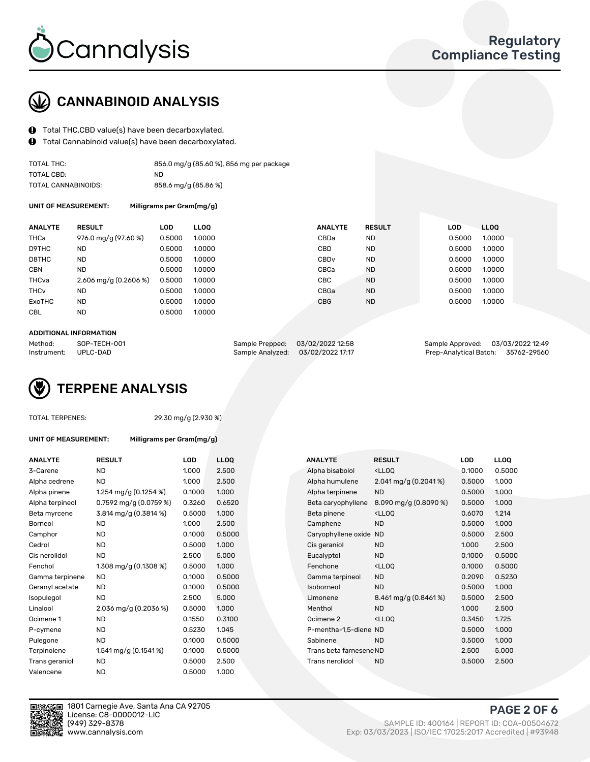

# CANNABINOID ANALYSIS

- Total THC,CBD value(s) have been decarboxylated.
- Total Cannabinoid value(s) have been decarboxylated.  $\mathbf{\Theta}$

| TOTAL THC:          | 856.0 mg/g (85.60 %), 856 mg per package |
|---------------------|------------------------------------------|
| TOTAL CBD:          | ND.                                      |
| TOTAL CANNABINOIDS: | 858.6 mg/g (85.86 %)                     |

UNIT OF MEASUREMENT: Milligrams per Gram(mg/g)

| <b>ANALYTE</b>         | <b>RESULT</b>           | LOD    | <b>LLOO</b> | <b>ANALYTE</b>   | <b>RESULT</b> | LOD    | LL <sub>00</sub> |
|------------------------|-------------------------|--------|-------------|------------------|---------------|--------|------------------|
| THCa                   | 976.0 mg/g (97.60 %)    | 0.5000 | 1.0000      | CBDa             | ND.           | 0.5000 | 1.0000           |
| D9THC                  | <b>ND</b>               | 0.5000 | 1.0000      | CBD              | <b>ND</b>     | 0.5000 | 1.0000           |
| D8THC                  | <b>ND</b>               | 0.5000 | 1.0000      | CBD <sub>v</sub> | <b>ND</b>     | 0.5000 | 1.0000           |
| <b>CBN</b>             | <b>ND</b>               | 0.5000 | 1.0000      | CBCa             | <b>ND</b>     | 0.5000 | 1.0000           |
| THCva                  | 2.606 mg/g $(0.2606\%)$ | 0.5000 | 1.0000      | <b>CBC</b>       | <b>ND</b>     | 0.5000 | 1.0000           |
| <b>THC<sub>v</sub></b> | ND.                     | 0.5000 | 1.0000      | CBGa             | <b>ND</b>     | 0.5000 | 1.0000           |
| <b>ExoTHC</b>          | <b>ND</b>               | 0.5000 | 1.0000      | <b>CBG</b>       | <b>ND</b>     | 0.5000 | 1.0000           |
| <b>CBL</b>             | <b>ND</b>               | 0.5000 | 1.0000      |                  |               |        |                  |
|                        |                         |        |             |                  |               |        |                  |

#### ADDITIONAL INFORMATION

| Method:              | SOP-TECH-001 | Sample Prepped: 03/02/2022 12:58  | Sample Approved: 03/03/2022 12:49  |  |
|----------------------|--------------|-----------------------------------|------------------------------------|--|
| Instrument: UPLC-DAD |              | Sample Analyzed: 03/02/2022 17:17 | Prep-Analytical Batch: 35762-29560 |  |

# TERPENE ANALYSIS

|  | TOTAL TERPENES: |
|--|-----------------|
|--|-----------------|

29.30 mg/g (2.930 %)

UNIT OF MEASUREMENT: Milligrams per Gram(mg/g)

| <b>ANALYTE</b>  | <b>RESULT</b>            | LOD    | <b>LLOO</b> |  | <b>ANALYTE</b>          | <b>RESULT</b>                                      | <b>LOD</b> | <b>LLOQ</b> |
|-----------------|--------------------------|--------|-------------|--|-------------------------|----------------------------------------------------|------------|-------------|
| 3-Carene        | <b>ND</b>                | 1.000  | 2.500       |  | Alpha bisabolol         | <ll0q< td=""><td>0.1000</td><td>0.500</td></ll0q<> | 0.1000     | 0.500       |
| Alpha cedrene   | ND                       | 1.000  | 2.500       |  | Alpha humulene          | 2.041 mg/g (0.2041%)                               | 0.5000     | 1.000       |
| Alpha pinene    | 1.254 mg/g $(0.1254 \%)$ | 0.1000 | 1.000       |  | Alpha terpinene         | <b>ND</b>                                          | 0.5000     | 1.000       |
| Alpha terpineol | 0.7592 mg/g $(0.0759\%)$ | 0.3260 | 0.6520      |  | Beta caryophyllene      | 8.090 mg/g (0.8090 %)                              | 0.5000     | 1.000       |
| Beta myrcene    | 3.814 mg/g (0.3814 %)    | 0.5000 | 1.000       |  | Beta pinene             | <ll0q< td=""><td>0.6070</td><td>1.214</td></ll0q<> | 0.6070     | 1.214       |
| Borneol         | <b>ND</b>                | 1.000  | 2.500       |  | Camphene                | <b>ND</b>                                          | 0.5000     | 1.000       |
| Camphor         | <b>ND</b>                | 0.1000 | 0.5000      |  | Caryophyllene oxide ND  |                                                    | 0.5000     | 2.500       |
| Cedrol          | ND                       | 0.5000 | 1.000       |  | Cis geraniol            | <b>ND</b>                                          | 1.000      | 2.500       |
| Cis nerolidol   | <b>ND</b>                | 2.500  | 5.000       |  | Eucalyptol              | <b>ND</b>                                          | 0.1000     | 0.500       |
| Fenchol         | 1.308 mg/g (0.1308 %)    | 0.5000 | 1.000       |  | Fenchone                | <lloq< td=""><td>0.1000</td><td>0.500</td></lloq<> | 0.1000     | 0.500       |
| Gamma terpinene | ND                       | 0.1000 | 0.5000      |  | Gamma terpineol         | <b>ND</b>                                          | 0.2090     | 0.523       |
| Geranyl acetate | <b>ND</b>                | 0.1000 | 0.5000      |  | Isoborneol              | <b>ND</b>                                          | 0.5000     | 1.000       |
| Isopulegol      | <b>ND</b>                | 2.500  | 5.000       |  | Limonene                | $8.461 \,\mathrm{mg/g}$ (0.8461%)                  | 0.5000     | 2.500       |
| Linalool        | 2.036 mg/g (0.2036 %)    | 0.5000 | 1.000       |  | Menthol                 | <b>ND</b>                                          | 1.000      | 2.500       |
| Ocimene 1       | <b>ND</b>                | 0.1550 | 0.3100      |  | Ocimene 2               | $<$ LLOO                                           | 0.3450     | 1.725       |
| P-cymene        | ND                       | 0.5230 | 1.045       |  | P-mentha-1,5-diene ND   |                                                    | 0.5000     | 1.000       |
| Pulegone        | <b>ND</b>                | 0.1000 | 0.5000      |  | Sabinene                | <b>ND</b>                                          | 0.5000     | 1.000       |
| Terpinolene     | 1.541 mg/g (0.1541 %)    | 0.1000 | 0.5000      |  | Trans beta farnesene ND |                                                    | 2.500      | 5.000       |
| Trans geraniol  | ND                       | 0.5000 | 2.500       |  | Trans nerolidol         | <b>ND</b>                                          | 0.5000     | 2.500       |
| Valencene       | <b>ND</b>                | 0.5000 | 1.000       |  |                         |                                                    |            |             |

| ANALYTE         | <b>RESULT</b>            | LOD    | <b>LLOQ</b> |  | ANALYTE                 | <b>RESULT</b>                                       | <b>LOD</b> | <b>LLOQ</b> |
|-----------------|--------------------------|--------|-------------|--|-------------------------|-----------------------------------------------------|------------|-------------|
| 3-Carene        | <b>ND</b>                | 1.000  | 2.500       |  | Alpha bisabolol         | <ll0q< td=""><td>0.1000</td><td>0.5000</td></ll0q<> | 0.1000     | 0.5000      |
| Alpha cedrene   | <b>ND</b>                | 1.000  | 2.500       |  | Alpha humulene          | $2.041$ mg/g $(0.2041\%)$                           | 0.5000     | 1.000       |
| Alpha pinene    | 1.254 mg/g $(0.1254\%)$  | 0.1000 | 1.000       |  | Alpha terpinene         | <b>ND</b>                                           | 0.5000     | 1.000       |
| Alpha terpineol | 0.7592 mg/g $(0.0759\%)$ | 0.3260 | 0.6520      |  | Beta caryophyllene      | 8.090 mg/g (0.8090 %)                               | 0.5000     | 1.000       |
| Beta myrcene    | 3.814 mg/g (0.3814 %)    | 0.5000 | 1.000       |  | Beta pinene             | <ll0q< td=""><td>0.6070</td><td>1.214</td></ll0q<>  | 0.6070     | 1.214       |
| Borneol         | <b>ND</b>                | 1.000  | 2.500       |  | Camphene                | <b>ND</b>                                           | 0.5000     | 1.000       |
| Camphor         | <b>ND</b>                | 0.1000 | 0.5000      |  | Caryophyllene oxide     | <b>ND</b>                                           | 0.5000     | 2.500       |
| Cedrol          | ND.                      | 0.5000 | 1.000       |  | Cis geraniol            | <b>ND</b>                                           | 1.000      | 2.500       |
| Cis nerolidol   | <b>ND</b>                | 2.500  | 5.000       |  | Eucalyptol              | <b>ND</b>                                           | 0.1000     | 0.5000      |
| Fenchol         | 1.308 mg/g (0.1308 %)    | 0.5000 | 1.000       |  | Fenchone                | <lloq< td=""><td>0.1000</td><td>0.5000</td></lloq<> | 0.1000     | 0.5000      |
| Gamma terpinene | ND.                      | 0.1000 | 0.5000      |  | Gamma terpineol         | <b>ND</b>                                           | 0.2090     | 0.5230      |
| Geranyl acetate | ND                       | 0.1000 | 0.5000      |  | Isoborneol              | <b>ND</b>                                           | 0.5000     | 1.000       |
| Isopulegol      | <b>ND</b>                | 2.500  | 5.000       |  | Limonene                | 8.461 mg/g (0.8461%)                                | 0.5000     | 2.500       |
| Linalool        | 2.036 mg/g (0.2036 %)    | 0.5000 | 1.000       |  | Menthol                 | <b>ND</b>                                           | 1.000      | 2.500       |
| Ocimene 1       | <b>ND</b>                | 0.1550 | 0.3100      |  | Ocimene 2               | <ll0q< td=""><td>0.3450</td><td>1.725</td></ll0q<>  | 0.3450     | 1.725       |
| P-cymene        | <b>ND</b>                | 0.5230 | 1.045       |  | P-mentha-1,5-diene ND   |                                                     | 0.5000     | 1.000       |
| Pulegone        | <b>ND</b>                | 0.1000 | 0.5000      |  | Sabinene                | <b>ND</b>                                           | 0.5000     | 1.000       |
| Terpinolene     | 1.541 mg/g $(0.1541\%)$  | 0.1000 | 0.5000      |  | Trans beta farnesene ND |                                                     | 2.500      | 5.000       |
| Trans geraniol  | ND.                      | 0.5000 | 2.500       |  | Trans nerolidol         | <b>ND</b>                                           | 0.5000     | 2.500       |
|                 |                          |        |             |  |                         |                                                     |            |             |



1801 Carnegie Ave, Santa Ana CA 92705 License: C8-0000012-LIC<br>(949) 329-8378 (949) 329-8378 SAMPLE ID: 400164 | REPORT ID: COA-00504672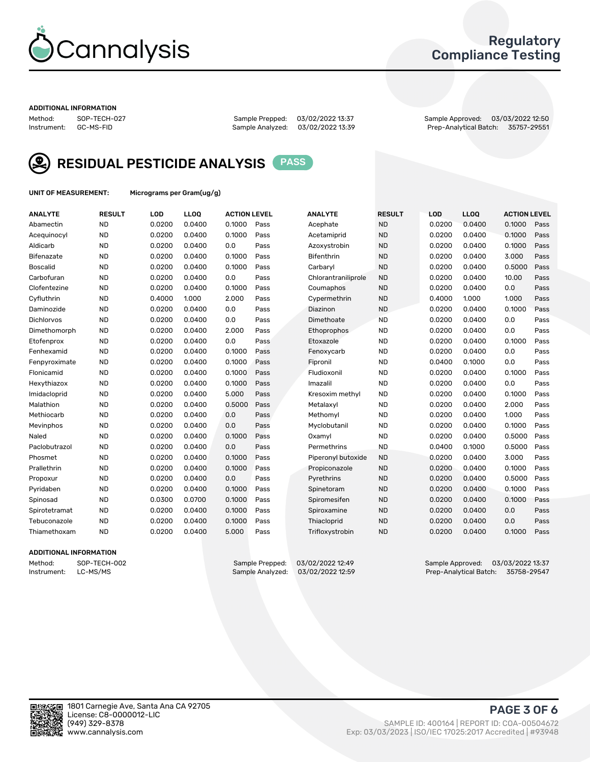

### Regulatory Compliance Testing

#### ADDITIONAL INFORMATION

Sample Analyzed: 03/02/2022 13:39

Method: SOP-TECH-027 Sample Prepped: 03/02/2022 13:37 Sample Approved: 03/03/2022 12:50



RESIDUAL PESTICIDE ANALYSIS PASS

UNIT OF MEASUREMENT: Micrograms per Gram(ug/g)

| <b>ANALYTE</b>    | <b>RESULT</b> | LOD    | LLOQ   | <b>ACTION LEVEL</b> |      | <b>ANALYTE</b>      | <b>RESULT</b> | LOD    | <b>LLOQ</b> | <b>ACTION LEVEL</b> |      |
|-------------------|---------------|--------|--------|---------------------|------|---------------------|---------------|--------|-------------|---------------------|------|
| Abamectin         | <b>ND</b>     | 0.0200 | 0.0400 | 0.1000              | Pass | Acephate            | <b>ND</b>     | 0.0200 | 0.0400      | 0.1000              | Pass |
| Acequinocyl       | <b>ND</b>     | 0.0200 | 0.0400 | 0.1000              | Pass | Acetamiprid         | <b>ND</b>     | 0.0200 | 0.0400      | 0.1000              | Pass |
| Aldicarb          | <b>ND</b>     | 0.0200 | 0.0400 | 0.0                 | Pass | Azoxystrobin        | <b>ND</b>     | 0.0200 | 0.0400      | 0.1000              | Pass |
| Bifenazate        | <b>ND</b>     | 0.0200 | 0.0400 | 0.1000              | Pass | <b>Bifenthrin</b>   | <b>ND</b>     | 0.0200 | 0.0400      | 3.000               | Pass |
| <b>Boscalid</b>   | <b>ND</b>     | 0.0200 | 0.0400 | 0.1000              | Pass | Carbaryl            | <b>ND</b>     | 0.0200 | 0.0400      | 0.5000              | Pass |
| Carbofuran        | <b>ND</b>     | 0.0200 | 0.0400 | 0.0                 | Pass | Chlorantraniliprole | <b>ND</b>     | 0.0200 | 0.0400      | 10.00               | Pass |
| Clofentezine      | <b>ND</b>     | 0.0200 | 0.0400 | 0.1000              | Pass | Coumaphos           | <b>ND</b>     | 0.0200 | 0.0400      | 0.0                 | Pass |
| Cyfluthrin        | <b>ND</b>     | 0.4000 | 1.000  | 2.000               | Pass | Cypermethrin        | <b>ND</b>     | 0.4000 | 1.000       | 1.000               | Pass |
| Daminozide        | <b>ND</b>     | 0.0200 | 0.0400 | 0.0                 | Pass | Diazinon            | <b>ND</b>     | 0.0200 | 0.0400      | 0.1000              | Pass |
| <b>Dichlorvos</b> | <b>ND</b>     | 0.0200 | 0.0400 | 0.0                 | Pass | Dimethoate          | <b>ND</b>     | 0.0200 | 0.0400      | 0.0                 | Pass |
| Dimethomorph      | <b>ND</b>     | 0.0200 | 0.0400 | 2.000               | Pass | <b>Ethoprophos</b>  | <b>ND</b>     | 0.0200 | 0.0400      | 0.0                 | Pass |
| Etofenprox        | <b>ND</b>     | 0.0200 | 0.0400 | 0.0                 | Pass | Etoxazole           | <b>ND</b>     | 0.0200 | 0.0400      | 0.1000              | Pass |
| Fenhexamid        | <b>ND</b>     | 0.0200 | 0.0400 | 0.1000              | Pass | Fenoxycarb          | <b>ND</b>     | 0.0200 | 0.0400      | 0.0                 | Pass |
| Fenpyroximate     | <b>ND</b>     | 0.0200 | 0.0400 | 0.1000              | Pass | Fipronil            | <b>ND</b>     | 0.0400 | 0.1000      | 0.0                 | Pass |
| Flonicamid        | <b>ND</b>     | 0.0200 | 0.0400 | 0.1000              | Pass | Fludioxonil         | <b>ND</b>     | 0.0200 | 0.0400      | 0.1000              | Pass |
| Hexythiazox       | <b>ND</b>     | 0.0200 | 0.0400 | 0.1000              | Pass | Imazalil            | <b>ND</b>     | 0.0200 | 0.0400      | 0.0                 | Pass |
| Imidacloprid      | <b>ND</b>     | 0.0200 | 0.0400 | 5.000               | Pass | Kresoxim methyl     | <b>ND</b>     | 0.0200 | 0.0400      | 0.1000              | Pass |
| Malathion         | <b>ND</b>     | 0.0200 | 0.0400 | 0.5000              | Pass | Metalaxyl           | <b>ND</b>     | 0.0200 | 0.0400      | 2.000               | Pass |
| Methiocarb        | <b>ND</b>     | 0.0200 | 0.0400 | 0.0                 | Pass | Methomyl            | <b>ND</b>     | 0.0200 | 0.0400      | 1.000               | Pass |
| Mevinphos         | <b>ND</b>     | 0.0200 | 0.0400 | 0.0                 | Pass | Myclobutanil        | <b>ND</b>     | 0.0200 | 0.0400      | 0.1000              | Pass |
| Naled             | <b>ND</b>     | 0.0200 | 0.0400 | 0.1000              | Pass | Oxamyl              | <b>ND</b>     | 0.0200 | 0.0400      | 0.5000              | Pass |
| Paclobutrazol     | <b>ND</b>     | 0.0200 | 0.0400 | 0.0                 | Pass | Permethrins         | <b>ND</b>     | 0.0400 | 0.1000      | 0.5000              | Pass |
| Phosmet           | <b>ND</b>     | 0.0200 | 0.0400 | 0.1000              | Pass | Piperonyl butoxide  | <b>ND</b>     | 0.0200 | 0.0400      | 3.000               | Pass |
| Prallethrin       | <b>ND</b>     | 0.0200 | 0.0400 | 0.1000              | Pass | Propiconazole       | <b>ND</b>     | 0.0200 | 0.0400      | 0.1000              | Pass |
| Propoxur          | <b>ND</b>     | 0.0200 | 0.0400 | 0.0                 | Pass | Pyrethrins          | <b>ND</b>     | 0.0200 | 0.0400      | 0.5000              | Pass |
| Pyridaben         | <b>ND</b>     | 0.0200 | 0.0400 | 0.1000              | Pass | Spinetoram          | <b>ND</b>     | 0.0200 | 0.0400      | 0.1000              | Pass |
| Spinosad          | <b>ND</b>     | 0.0300 | 0.0700 | 0.1000              | Pass | Spiromesifen        | <b>ND</b>     | 0.0200 | 0.0400      | 0.1000              | Pass |
| Spirotetramat     | <b>ND</b>     | 0.0200 | 0.0400 | 0.1000              | Pass | Spiroxamine         | <b>ND</b>     | 0.0200 | 0.0400      | 0.0                 | Pass |
| Tebuconazole      | <b>ND</b>     | 0.0200 | 0.0400 | 0.1000              | Pass | Thiacloprid         | <b>ND</b>     | 0.0200 | 0.0400      | 0.0                 | Pass |
| Thiamethoxam      | <b>ND</b>     | 0.0200 | 0.0400 | 5.000               | Pass | Trifloxystrobin     | <b>ND</b>     | 0.0200 | 0.0400      | 0.1000              | Pass |

#### ADDITIONAL INFORMATION

Method: SOP-TECH-002 Sample Prepped: 03/02/2022 12:49 Sample Approved: 03/03/2022 13:37<br>Sample Analyzed: 03/02/2022 12:59 Prep-Analytical Batch: 35758-29547 Prep-Analytical Batch: 35758-29547

PAGE 3 OF 6

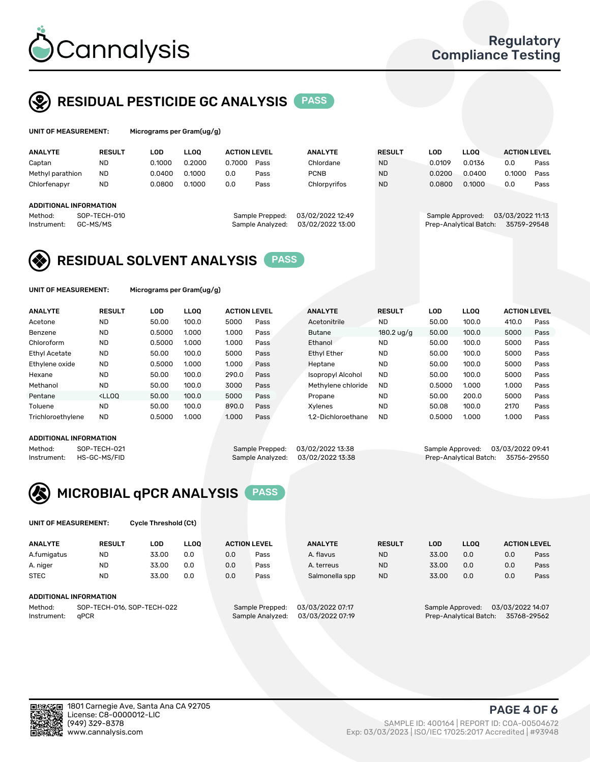

UNIT OF MEASUREMENT: Micrograms per Gram(ug/g)

## RESIDUAL PESTICIDE GC ANALYSIS PASS

| <b>ANALYTE</b>                | <b>RESULT</b>            | LOD    | <b>LLOO</b> | <b>ACTION LEVEL</b> |                                     | <b>ANALYTE</b>                       | <b>RESULT</b> | <b>LOD</b>       | <b>LLOO</b>            | <b>ACTION LEVEL</b>             |      |
|-------------------------------|--------------------------|--------|-------------|---------------------|-------------------------------------|--------------------------------------|---------------|------------------|------------------------|---------------------------------|------|
| Captan                        | ND                       | 0.1000 | 0.2000      | 0.7000              | Pass                                | Chlordane                            | <b>ND</b>     | 0.0109           | 0.0136                 | 0.0                             | Pass |
| Methyl parathion              | <b>ND</b>                | 0.0400 | 0.1000      | 0.0                 | Pass                                | <b>PCNB</b>                          | <b>ND</b>     | 0.0200           | 0.0400                 | 0.1000                          | Pass |
| Chlorfenapyr                  | <b>ND</b>                | 0.0800 | 0.1000      | 0.0                 | Pass                                | Chlorpyrifos                         | <b>ND</b>     | 0.0800           | 0.1000                 | 0.0                             | Pass |
| <b>ADDITIONAL INFORMATION</b> |                          |        |             |                     |                                     |                                      |               |                  |                        |                                 |      |
| Method:<br>Instrument:        | SOP-TECH-010<br>GC-MS/MS |        |             |                     | Sample Prepped:<br>Sample Analyzed: | 03/02/2022 12:49<br>03/02/2022 13:00 |               | Sample Approved: | Prep-Analytical Batch: | 03/03/2022 11:13<br>35759-29548 |      |

### 03/03/2022 11:13



UNIT OF MEASUREMENT: Micrograms per Gram(ug/g)

| <b>ANALYTE</b>    | <b>RESULT</b>                                                                                                                                                       | LOD    | <b>LLOO</b> | <b>ACTION LEVEL</b> |      | <b>ANALYTE</b>     | <b>RESULT</b>        | <b>LOD</b> | <b>LLOO</b> | <b>ACTION LEVEL</b> |      |
|-------------------|---------------------------------------------------------------------------------------------------------------------------------------------------------------------|--------|-------------|---------------------|------|--------------------|----------------------|------------|-------------|---------------------|------|
| Acetone           | <b>ND</b>                                                                                                                                                           | 50.00  | 100.0       | 5000                | Pass | Acetonitrile       | <b>ND</b>            | 50.00      | 100.0       | 410.0               | Pass |
| Benzene           | <b>ND</b>                                                                                                                                                           | 0.5000 | 1.000       | 1.000               | Pass | <b>Butane</b>      | 180.2 $\frac{10}{9}$ | 50.00      | 100.0       | 5000                | Pass |
| Chloroform        | <b>ND</b>                                                                                                                                                           | 0.5000 | 1.000       | 1.000               | Pass | Ethanol            | <b>ND</b>            | 50.00      | 100.0       | 5000                | Pass |
| Ethyl Acetate     | <b>ND</b>                                                                                                                                                           | 50.00  | 100.0       | 5000                | Pass | <b>Ethyl Ether</b> | <b>ND</b>            | 50.00      | 100.0       | 5000                | Pass |
| Ethylene oxide    | <b>ND</b>                                                                                                                                                           | 0.5000 | 1.000       | 1.000               | Pass | Heptane            | <b>ND</b>            | 50.00      | 100.0       | 5000                | Pass |
| Hexane            | <b>ND</b>                                                                                                                                                           | 50.00  | 100.0       | 290.0               | Pass | Isopropyl Alcohol  | <b>ND</b>            | 50.00      | 100.0       | 5000                | Pass |
| Methanol          | <b>ND</b>                                                                                                                                                           | 50.00  | 100.0       | 3000                | Pass | Methylene chloride | <b>ND</b>            | 0.5000     | 1.000       | 1.000               | Pass |
| Pentane           | <lloo< td=""><td>50.00</td><td>100.0</td><td>5000</td><td>Pass</td><td>Propane</td><td><b>ND</b></td><td>50.00</td><td>200.0</td><td>5000</td><td>Pass</td></lloo<> | 50.00  | 100.0       | 5000                | Pass | Propane            | <b>ND</b>            | 50.00      | 200.0       | 5000                | Pass |
| Toluene           | <b>ND</b>                                                                                                                                                           | 50.00  | 100.0       | 890.0               | Pass | Xvlenes            | <b>ND</b>            | 50.08      | 100.0       | 2170                | Pass |
| Trichloroethylene | <b>ND</b>                                                                                                                                                           | 0.5000 | 1.000       | 1.000               | Pass | 1.2-Dichloroethane | <b>ND</b>            | 0.5000     | 1.000       | 1.000               | Pass |
|                   |                                                                                                                                                                     |        |             |                     |      |                    |                      |            |             |                     |      |

#### ADDITIONAL INFORMATION

Method: SOP-TECH-021 Sample Prepped: 03/02/2022 13:38 Sample Approved: 03/03/2022 13:38<br>Sample Analyzed: 03/02/2022 13:38 Prep-Analytical Batch: 35756-29550

Prep-Analytical Batch: 35756-29550



UNIT OF MEASUREMENT: Cycle Threshold (Ct)

| <b>ANALYTE</b> | <b>RESULT</b>              | LOD   | <b>LLOO</b> |                  | <b>ACTION LEVEL</b> | <b>ANALYTE</b>   | <b>RESULT</b> | <b>LOD</b>             | <b>LLOO</b> |                  | <b>ACTION LEVEL</b> |
|----------------|----------------------------|-------|-------------|------------------|---------------------|------------------|---------------|------------------------|-------------|------------------|---------------------|
| A.fumigatus    | <b>ND</b>                  | 33.00 | 0.0         | 0.0              | Pass                | A. flavus        | <b>ND</b>     | 33.00                  | 0.0         | 0.0              | Pass                |
| A. niger       | <b>ND</b>                  | 33.00 | 0.0         | 0.0              | Pass                | A. terreus       | <b>ND</b>     | 33.00                  | 0.0         | 0.0              | Pass                |
| <b>STEC</b>    | <b>ND</b>                  | 33.00 | 0.0         | 0.0              | Pass                | Salmonella spp   | <b>ND</b>     | 33.00                  | 0.0         | 0.0              | Pass                |
|                | ADDITIONAL INFORMATION     |       |             |                  |                     |                  |               |                        |             |                  |                     |
| Method:        | SOP-TECH-016, SOP-TECH-022 |       |             |                  | Sample Prepped:     | 03/03/2022 07:17 |               | Sample Approved:       |             | 03/03/2022 14:07 |                     |
| Instrument:    | aPCR                       |       |             | Sample Analyzed: | 03/03/2022 07:19    |                  |               | Prep-Analytical Batch: |             | 35768-29562      |                     |

PAGE 4 OF 6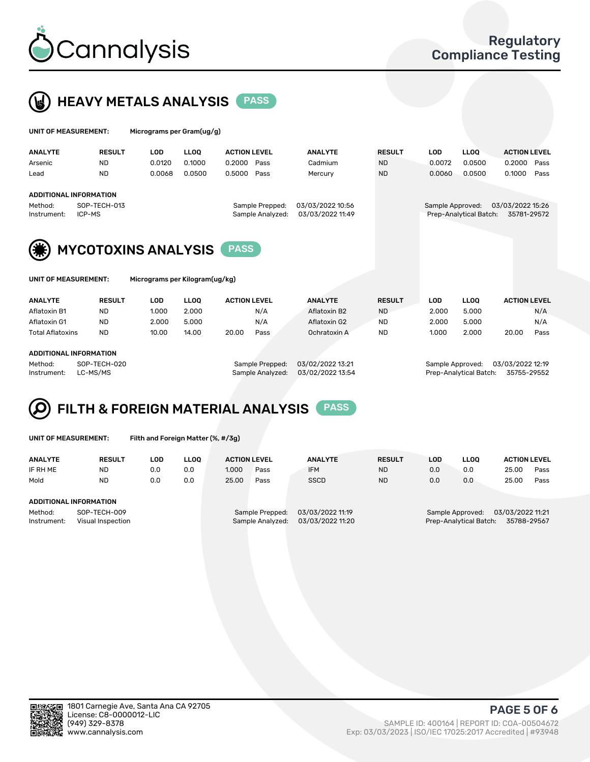



| UNIT OF MEASUREMENT:   |                               |            | Micrograms per Gram(ug/g) |                                     |  |                                      |               |                  |                        |                                 |      |  |
|------------------------|-------------------------------|------------|---------------------------|-------------------------------------|--|--------------------------------------|---------------|------------------|------------------------|---------------------------------|------|--|
| <b>ANALYTE</b>         | <b>RESULT</b>                 | <b>LOD</b> | <b>LLOO</b>               | <b>ACTION LEVEL</b>                 |  | <b>ANALYTE</b>                       | <b>RESULT</b> | <b>LOD</b>       | <b>LLOO</b>            | <b>ACTION LEVEL</b>             |      |  |
| Arsenic                | <b>ND</b>                     | 0.0120     | 0.1000                    | 0.2000<br>Pass                      |  | Cadmium                              | <b>ND</b>     | 0.0072           | 0.0500                 | 0.2000                          | Pass |  |
| Lead                   | <b>ND</b>                     | 0.0068     | 0.0500                    | 0.5000<br>Pass                      |  | Mercury                              | <b>ND</b>     | 0.0060           | 0.0500                 | 0.1000                          | Pass |  |
|                        | <b>ADDITIONAL INFORMATION</b> |            |                           |                                     |  |                                      |               |                  |                        |                                 |      |  |
| Method:<br>Instrument: | SOP-TECH-013<br>ICP-MS        |            |                           | Sample Prepped:<br>Sample Analyzed: |  | 03/03/2022 10:56<br>03/03/2022 11:49 |               | Sample Approved: | Prep-Analytical Batch: | 03/03/2022 15:26<br>35781-29572 |      |  |
| (纂)                    | <b>MYCOTOXINS ANALYSIS</b>    |            |                           | <b>PASS</b>                         |  |                                      |               |                  |                        |                                 |      |  |



UNIT OF MEASUREMENT: Micrograms per Kilogram(ug/kg)

| <b>ANALYTE</b>          | <b>RESULT</b> | LOD   | <b>LLOO</b> | <b>ACTION LEVEL</b> |      | <b>ANALYTE</b> | <b>RESULT</b> | LOD   | <b>LLOO</b> | <b>ACTION LEVEL</b> |      |
|-------------------------|---------------|-------|-------------|---------------------|------|----------------|---------------|-------|-------------|---------------------|------|
| Aflatoxin B1            | <b>ND</b>     | 1.000 | 2.000       |                     | N/A  | Aflatoxin B2   | <b>ND</b>     | 2.000 | 5.000       |                     | N/A  |
| Aflatoxin G1            | <b>ND</b>     | 2.000 | 5.000       |                     | N/A  | Aflatoxin G2   | <b>ND</b>     | 2.000 | 5.000       |                     | N/A  |
| <b>Total Aflatoxins</b> | <b>ND</b>     | 10.00 | 14.00       | 20.00               | Pass | Ochratoxin A   | <b>ND</b>     | 1.000 | 2.000       | 20.00               | Pass |
|                         |               |       |             |                     |      |                |               |       |             |                     |      |
| ADDITIONAL INFORMATION  |               |       |             |                     |      |                |               |       |             |                     |      |

#### ADDITIONAL INFORMATION

Method: SOP-TECH-020 Sample Prepped: 03/02/2022 13:21 Sample Approved: 03/03/2022 12:19 Instrument: LC-MS/MS Sample Analyzed: 03/02/2022 13:54 Prep-Analytical Batch: 35755-29552

# FILTH & FOREIGN MATERIAL ANALYSIS PASS

UNIT OF MEASUREMENT: Filth and Foreign Matter (%, #/3g)

| <b>ANALYTE</b>                                              | <b>RESULT</b> | LOD | <b>LLOO</b> | <b>ACTION LEVEL</b>                 |      | <b>ANALYTE</b>                       | <b>RESULT</b> | LOD | <b>LLOO</b>                                                                   | <b>ACTION LEVEL</b> |      |  |
|-------------------------------------------------------------|---------------|-----|-------------|-------------------------------------|------|--------------------------------------|---------------|-----|-------------------------------------------------------------------------------|---------------------|------|--|
| IF RH ME                                                    | <b>ND</b>     | 0.0 | 0.0         | 1.000                               | Pass | <b>IFM</b>                           | <b>ND</b>     | 0.0 | 0.0                                                                           | 25.00               | Pass |  |
| Mold                                                        | <b>ND</b>     | 0.0 | 0.0         | 25.00                               | Pass | <b>SSCD</b>                          | <b>ND</b>     | 0.0 | 0.0                                                                           | 25.00               | Pass |  |
| ADDITIONAL INFORMATION                                      |               |     |             |                                     |      |                                      |               |     |                                                                               |                     |      |  |
| SOP-TECH-009<br>Method:<br>Instrument:<br>Visual Inspection |               |     |             | Sample Prepped:<br>Sample Analyzed: |      | 03/03/2022 11:19<br>03/03/2022 11:20 |               |     | 03/03/2022 11:21<br>Sample Approved:<br>Prep-Analytical Batch:<br>35788-29567 |                     |      |  |



PAGE 5 OF 6